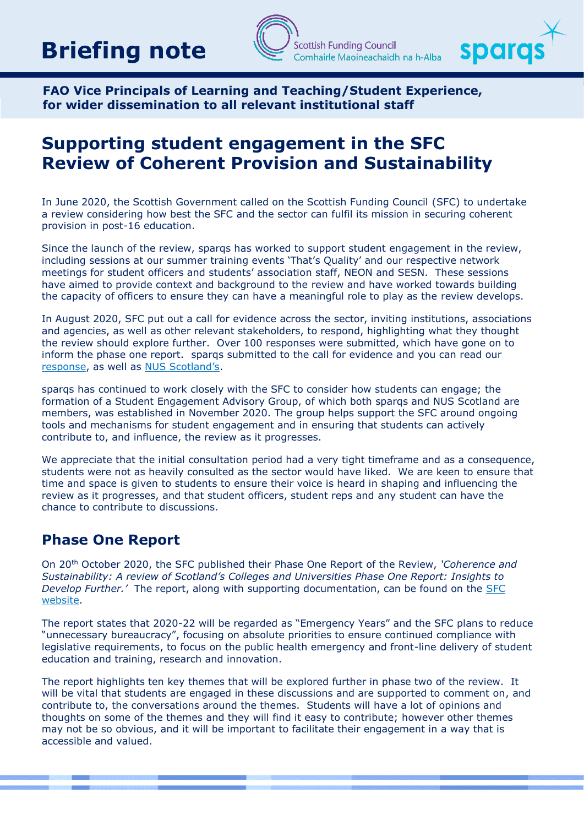# **Briefing note**





**FAO Vice Principals of Learning and Teaching/Student Experience, for wider dissemination to all relevant institutional staff**

# **Supporting student engagement in the SFC Review of Coherent Provision and Sustainability**

In June 2020, the Scottish Government called on the Scottish Funding Council (SFC) to undertake a review considering how best the SFC and the sector can fulfil its mission in securing coherent provision in post-16 education.

Since the launch of the review, sparqs has worked to support student engagement in the review, including sessions at our summer training events 'That's Quality' and our respective network meetings for student officers and students' association staff, NEON and SESN. These sessions have aimed to provide context and background to the review and have worked towards building the capacity of officers to ensure they can have a meaningful role to play as the review develops.

In August 2020, SFC put out a call for evidence across the sector, inviting institutions, associations and agencies, as well as other relevant stakeholders, to respond, highlighting what they thought the review should explore further. Over 100 responses were submitted, which have gone on to inform the phase one report. sparqs submitted to the call for evidence and you can read our [response,](https://www.sparqs.ac.uk/upfiles/SFC%20Review%20%20-%20sparqs%20response.pdf) as well as [NUS Scotland's](https://www.sparqs.ac.uk/upfiles/SFC%20Review%20-%20NUS%20Scotland%20response.pdf).

sparqs has continued to work closely with the SFC to consider how students can engage; the formation of a Student Engagement Advisory Group, of which both sparqs and NUS Scotland are members, was established in November 2020. The group helps support the SFC around ongoing tools and mechanisms for student engagement and in ensuring that students can actively contribute to, and influence, the review as it progresses.

We appreciate that the initial consultation period had a very tight timeframe and as a consequence, students were not as heavily consulted as the sector would have liked. We are keen to ensure that time and space is given to students to ensure their voice is heard in shaping and influencing the review as it progresses, and that student officers, student reps and any student can have the chance to contribute to discussions.

## **Phase One Report**

On 20th October 2020, the SFC published their Phase One Report of the Review, *'Coherence and Sustainability: A review of Scotland's Colleges and Universities Phase One Report: Insights to Develop Further.'* The report, along with supporting documentation, can be found on the [SFC](http://www.sfc.ac.uk/review/review.aspx)  [website.](http://www.sfc.ac.uk/review/review.aspx)

The report states that 2020-22 will be regarded as "Emergency Years" and the SFC plans to reduce "unnecessary bureaucracy", focusing on absolute priorities to ensure continued compliance with legislative requirements, to focus on the public health emergency and front-line delivery of student education and training, research and innovation.

The report highlights ten key themes that will be explored further in phase two of the review. It will be vital that students are engaged in these discussions and are supported to comment on, and contribute to, the conversations around the themes. Students will have a lot of opinions and thoughts on some of the themes and they will find it easy to contribute; however other themes may not be so obvious, and it will be important to facilitate their engagement in a way that is accessible and valued.